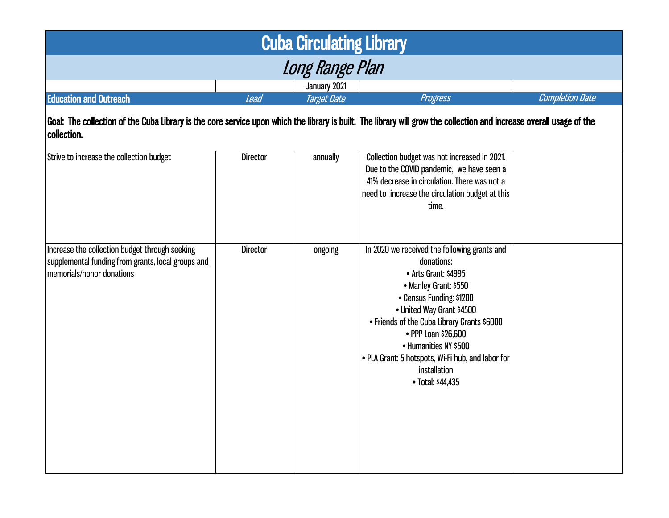| <b>Cuba Circulating Library</b>                                                                                                                                                                                                                                                                  |                 |              |                                                                                                                                                                                                                                                                                                                                                               |  |  |
|--------------------------------------------------------------------------------------------------------------------------------------------------------------------------------------------------------------------------------------------------------------------------------------------------|-----------------|--------------|---------------------------------------------------------------------------------------------------------------------------------------------------------------------------------------------------------------------------------------------------------------------------------------------------------------------------------------------------------------|--|--|
| <b>Long Range Plan</b>                                                                                                                                                                                                                                                                           |                 |              |                                                                                                                                                                                                                                                                                                                                                               |  |  |
|                                                                                                                                                                                                                                                                                                  |                 | January 2021 |                                                                                                                                                                                                                                                                                                                                                               |  |  |
| <b>Education and Outreach</b><br><b>Completion Date</b><br><b>Target Date</b><br>Progress<br><b>Lead</b><br>Goal: The collection of the Cuba Library is the core service upon which the library is built. The library will grow the collection and increase overall usage of the<br> collection. |                 |              |                                                                                                                                                                                                                                                                                                                                                               |  |  |
| Strive to increase the collection budget                                                                                                                                                                                                                                                         | <b>Director</b> | annually     | Collection budget was not increased in 2021.<br>Due to the COVID pandemic, we have seen a<br>41% decrease in circulation. There was not a<br>need to increase the circulation budget at this<br>time.                                                                                                                                                         |  |  |
| Increase the collection budget through seeking<br>supplemental funding from grants, local groups and<br>memorials/honor donations                                                                                                                                                                | <b>Director</b> | ongoing      | In 2020 we received the following grants and<br>donations:<br>• Arts Grant: \$4995<br>• Manley Grant: \$550<br>• Census Funding: \$1200<br>• United Way Grant \$4500<br>• Friends of the Cuba Library Grants \$6000<br>• PPP Loan \$26,600<br>• Humanities NY \$500<br>. PLA Grant: 5 hotspots, Wi-Fi hub, and labor for<br>installation<br>• Total: \$44,435 |  |  |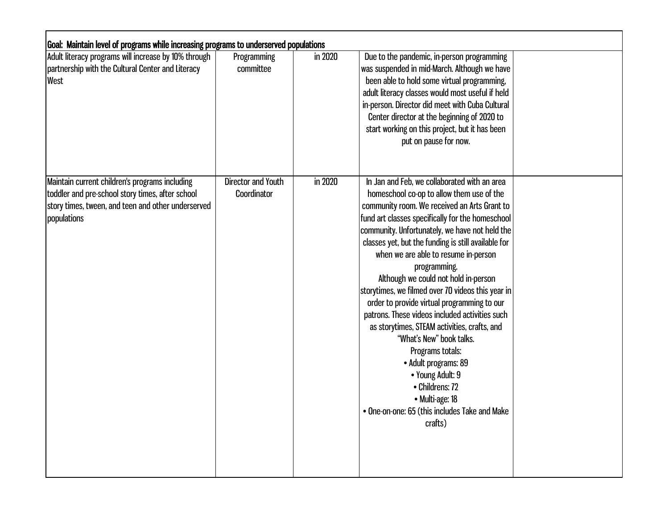| Goal: Maintain level of programs while increasing programs to underserved populations                                                                                   |                                   |         |                                                                                                                                                                                                                                                                                                                                                                                                                                                                                                                                                                                                                                                                                                                                                                                                            |  |  |  |
|-------------------------------------------------------------------------------------------------------------------------------------------------------------------------|-----------------------------------|---------|------------------------------------------------------------------------------------------------------------------------------------------------------------------------------------------------------------------------------------------------------------------------------------------------------------------------------------------------------------------------------------------------------------------------------------------------------------------------------------------------------------------------------------------------------------------------------------------------------------------------------------------------------------------------------------------------------------------------------------------------------------------------------------------------------------|--|--|--|
| Adult literacy programs will increase by 10% through<br>partnership with the Cultural Center and Literacy<br>West                                                       | Programming<br>committee          | in 2020 | Due to the pandemic, in-person programming<br>was suspended in mid-March. Although we have<br>been able to hold some virtual programming,<br>adult literacy classes would most useful if held<br>in-person. Director did meet with Cuba Cultural<br>Center director at the beginning of 2020 to<br>start working on this project, but it has been<br>put on pause for now.                                                                                                                                                                                                                                                                                                                                                                                                                                 |  |  |  |
| Maintain current children's programs including<br>toddler and pre-school story times, after school<br>story times, tween, and teen and other underserved<br>populations | Director and Youth<br>Coordinator | in 2020 | In Jan and Feb, we collaborated with an area<br>homeschool co-op to allow them use of the<br>community room. We received an Arts Grant to<br>fund art classes specifically for the homeschool<br>community. Unfortunately, we have not held the<br>classes yet, but the funding is still available for<br>when we are able to resume in-person<br>programming.<br>Although we could not hold in-person<br>storytimes, we filmed over 70 videos this year in<br>order to provide virtual programming to our<br>patrons. These videos included activities such<br>as storytimes, STEAM activities, crafts, and<br>"What's New" book talks.<br>Programs totals:<br>• Adult programs: 89<br>• Young Adult: 9<br>• Childrens: 72<br>• Multi-age: 18<br>• One-on-one: 65 (this includes Take and Make<br>crafts) |  |  |  |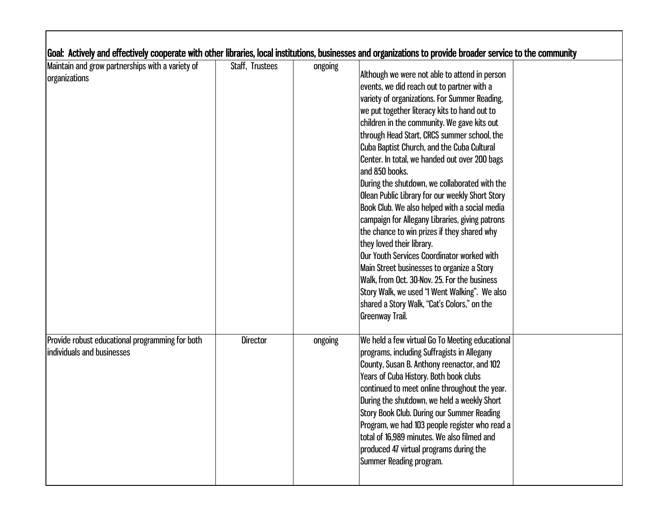| Maintain and grow partnerships with a variety of | Staff, Trustees | ongoing |                                                 |  |
|--------------------------------------------------|-----------------|---------|-------------------------------------------------|--|
| organizations                                    |                 |         | Although we were not able to attend in person   |  |
|                                                  |                 |         | events, we did reach out to partner with a      |  |
|                                                  |                 |         | variety of organizations. For Summer Reading,   |  |
|                                                  |                 |         | we put together literacy kits to hand out to    |  |
|                                                  |                 |         | children in the community. We gave kits out     |  |
|                                                  |                 |         | through Head Start, CRCS summer school, the     |  |
|                                                  |                 |         | Cuba Baptist Church, and the Cuba Cultural      |  |
|                                                  |                 |         | Center. In total, we handed out over 200 bags   |  |
|                                                  |                 |         | and 850 books.                                  |  |
|                                                  |                 |         | During the shutdown, we collaborated with the   |  |
|                                                  |                 |         | Olean Public Library for our weekly Short Story |  |
|                                                  |                 |         | Book Club. We also helped with a social media   |  |
|                                                  |                 |         | campaign for Allegany Libraries, giving patrons |  |
|                                                  |                 |         | the chance to win prizes if they shared why     |  |
|                                                  |                 |         | they loved their library.                       |  |
|                                                  |                 |         | Our Youth Services Coordinator worked with      |  |
|                                                  |                 |         | Main Street businesses to organize a Story      |  |
|                                                  |                 |         | Walk, from Oct. 30-Nov. 25. For the business    |  |
|                                                  |                 |         | Story Walk, we used "I Went Walking". We also   |  |
|                                                  |                 |         |                                                 |  |
|                                                  |                 |         | shared a Story Walk, "Cat's Colors," on the     |  |
|                                                  |                 |         | Greenway Trail.                                 |  |
| Provide robust educational programming for both  | <b>Director</b> | ongoing | We held a few virtual Go To Meeting educational |  |
| individuals and businesses                       |                 |         | programs, including Suffragists in Allegany     |  |
|                                                  |                 |         | County, Susan B. Anthony reenactor, and 102     |  |
|                                                  |                 |         | Years of Cuba History. Both book clubs          |  |
|                                                  |                 |         | continued to meet online throughout the year.   |  |
|                                                  |                 |         | During the shutdown, we held a weekly Short     |  |
|                                                  |                 |         | Story Book Club. During our Summer Reading      |  |
|                                                  |                 |         | Program, we had 103 people register who read a  |  |
|                                                  |                 |         | total of 16,989 minutes. We also filmed and     |  |
|                                                  |                 |         | produced 47 virtual programs during the         |  |
|                                                  |                 |         | Summer Reading program.                         |  |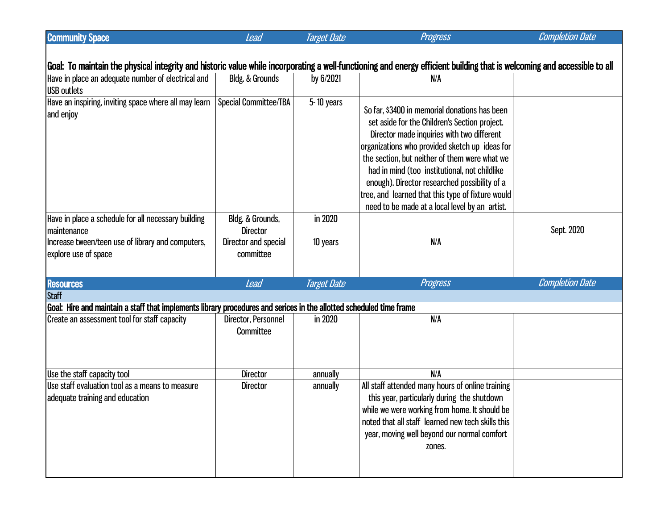| <b>Community Space</b>                                                                                                                                                   | <b>Lead</b>                         | <b>Target Date</b> | <b>Progress</b>                                                                                                                                                                                                                                                                                                                                                                                                                                          | <b>Completion Date</b> |  |
|--------------------------------------------------------------------------------------------------------------------------------------------------------------------------|-------------------------------------|--------------------|----------------------------------------------------------------------------------------------------------------------------------------------------------------------------------------------------------------------------------------------------------------------------------------------------------------------------------------------------------------------------------------------------------------------------------------------------------|------------------------|--|
|                                                                                                                                                                          |                                     |                    |                                                                                                                                                                                                                                                                                                                                                                                                                                                          |                        |  |
| Goal: To maintain the physical integrity and historic value while incorporating a well-functioning and energy efficient building that is welcoming and accessible to all |                                     |                    |                                                                                                                                                                                                                                                                                                                                                                                                                                                          |                        |  |
| Have in place an adequate number of electrical and<br><b>USB</b> outlets                                                                                                 | <b>Bldg. &amp; Grounds</b>          | by 6/2021          | N/A                                                                                                                                                                                                                                                                                                                                                                                                                                                      |                        |  |
| Have an inspiring, inviting space where all may learn<br>and enjoy                                                                                                       | Special Committee/TBA               | $5 - 10$ years     | So far, \$3400 in memorial donations has been<br>set aside for the Children's Section project.<br>Director made inquiries with two different<br>organizations who provided sketch up ideas for<br>the section, but neither of them were what we<br>had in mind (too institutional, not childlike<br>enough). Director researched possibility of a<br>tree, and learned that this type of fixture would<br>need to be made at a local level by an artist. |                        |  |
| Have in place a schedule for all necessary building<br>maintenance                                                                                                       | Bldg. & Grounds,<br><b>Director</b> | in 2020            |                                                                                                                                                                                                                                                                                                                                                                                                                                                          | Sept. 2020             |  |
| Increase tween/teen use of library and computers,<br>explore use of space                                                                                                | Director and special<br>committee   | 10 years           | N/A                                                                                                                                                                                                                                                                                                                                                                                                                                                      |                        |  |
| <b>Resources</b>                                                                                                                                                         | <b>Lead</b>                         | <b>Target Date</b> | Progress                                                                                                                                                                                                                                                                                                                                                                                                                                                 | <b>Completion Date</b> |  |
| <b>Staff</b>                                                                                                                                                             |                                     |                    |                                                                                                                                                                                                                                                                                                                                                                                                                                                          |                        |  |
| Goal: Hire and maintain a staff that implements library procedures and serices in the allotted scheduled time frame                                                      |                                     |                    |                                                                                                                                                                                                                                                                                                                                                                                                                                                          |                        |  |
| Create an assessment tool for staff capacity                                                                                                                             | Director, Personnel<br>Committee    | in 2020            | N/A                                                                                                                                                                                                                                                                                                                                                                                                                                                      |                        |  |
| Use the staff capacity tool                                                                                                                                              | <b>Director</b>                     | annually           | N/A                                                                                                                                                                                                                                                                                                                                                                                                                                                      |                        |  |
| Use staff evaluation tool as a means to measure<br>adequate training and education                                                                                       | <b>Director</b>                     | annually           | All staff attended many hours of online training<br>this year, particularly during the shutdown<br>while we were working from home. It should be<br>noted that all staff learned new tech skills this<br>year, moving well beyond our normal comfort<br>zones.                                                                                                                                                                                           |                        |  |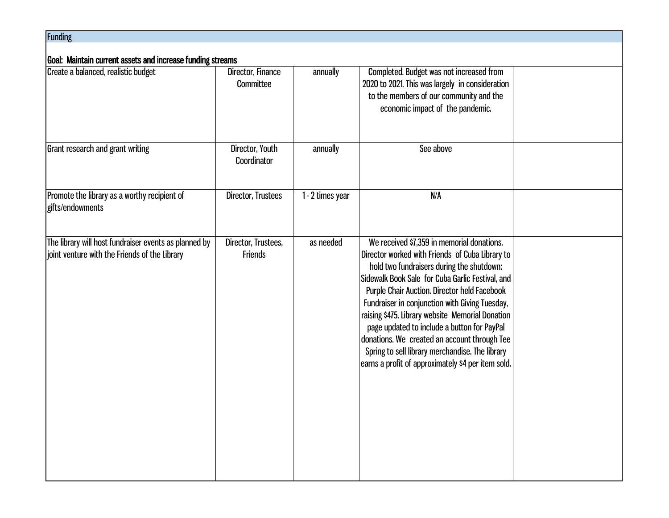| <b>Funding</b>                                                                                         |                                       |                  |                                                                                                                                                                                                                                                                                                                                                                                                                                                                                                                                                              |  |  |
|--------------------------------------------------------------------------------------------------------|---------------------------------------|------------------|--------------------------------------------------------------------------------------------------------------------------------------------------------------------------------------------------------------------------------------------------------------------------------------------------------------------------------------------------------------------------------------------------------------------------------------------------------------------------------------------------------------------------------------------------------------|--|--|
| Goal: Maintain current assets and increase funding streams                                             |                                       |                  |                                                                                                                                                                                                                                                                                                                                                                                                                                                                                                                                                              |  |  |
| Create a balanced, realistic budget                                                                    | Director, Finance<br>Committee        | annually         | Completed. Budget was not increased from<br>2020 to 2021. This was largely in consideration<br>to the members of our community and the<br>economic impact of the pandemic.                                                                                                                                                                                                                                                                                                                                                                                   |  |  |
| Grant research and grant writing                                                                       | Director, Youth<br>Coordinator        | annually         | See above                                                                                                                                                                                                                                                                                                                                                                                                                                                                                                                                                    |  |  |
| Promote the library as a worthy recipient of<br>gifts/endowments                                       | Director, Trustees                    | 1 - 2 times year | N/A                                                                                                                                                                                                                                                                                                                                                                                                                                                                                                                                                          |  |  |
| The library will host fundraiser events as planned by<br>joint venture with the Friends of the Library | Director, Trustees,<br><b>Friends</b> | as needed        | We received \$7,359 in memorial donations.<br>Director worked with Friends of Cuba Library to<br>hold two fundraisers during the shutdown:<br>Sidewalk Book Sale for Cuba Garlic Festival, and<br>Purple Chair Auction. Director held Facebook<br>Fundraiser in conjunction with Giving Tuesday,<br>raising \$475. Library website Memorial Donation<br>page updated to include a button for PayPal<br>donations. We created an account through Tee<br>Spring to sell library merchandise. The library<br>earns a profit of approximately \$4 per item sold. |  |  |